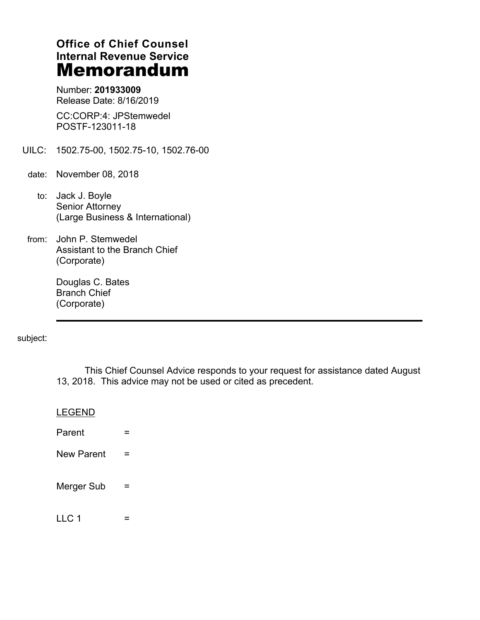# **Office of Chief Counsel Internal Revenue Service Memorandum**

Number: **201933009** Release Date: 8/16/2019

CC:CORP:4: JPStemwedel POSTF-123011-18

- UILC: 1502.75-00, 1502.75-10, 1502.76-00
	- date: November 08, 2018
		- to: Jack J. Boyle Senior Attorney (Large Business & International)
- from: John P. Stemwedel Assistant to the Branch Chief (Corporate)

Douglas C. Bates Branch Chief (Corporate)

 ${\sf subject:}$ 

This Chief Counsel Advice responds to your request for assistance dated August 13, 2018. This advice may not be used or cited as precedent.

| <b>LEGEND</b>     |          |  |  |  |
|-------------------|----------|--|--|--|
| Parent            | $=$      |  |  |  |
| <b>New Parent</b> | $\equiv$ |  |  |  |
| Merger Sub        | $\equiv$ |  |  |  |
| LLC <sub>1</sub>  | $\equiv$ |  |  |  |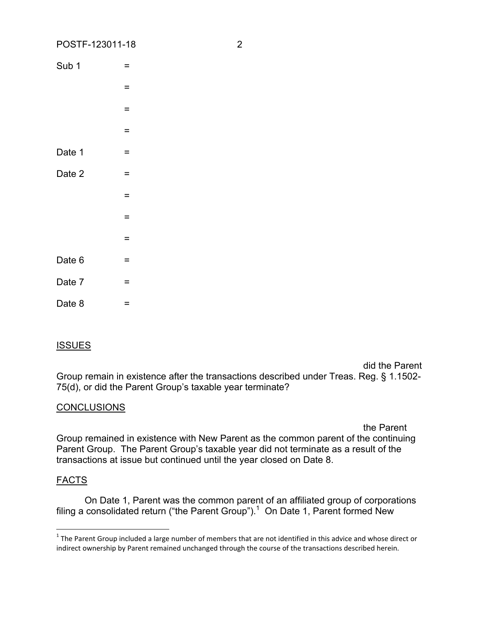$Sub 1 =$ -------- = ------------------------------------------------------------------- ---------------- = ----------------- -------------- = ------------------ Date 1  $=$ Date  $2 =$ ---------- = --------------------------- ---------- = ------------------------ ---------- = -------------------------- Date 6  $=$ Date 7  $=$ Date 8  $=$ 

### **ISSUES**

did the Parent Group remain in existence after the transactions described under Treas. Reg. § 1.1502- 75(d), or did the Parent Group's taxable year terminate?

## **CONCLUSIONS**

the Parent Group remained in existence with New Parent as the common parent of the continuing Parent Group. The Parent Group's taxable year did not terminate as a result of the transactions at issue but continued until the year closed on Date 8.

### FACTS

 $\overline{a}$ 

On Date 1, Parent was the common parent of an affiliated group of corporations filing a consolidated return ("the Parent Group"). $1$  On Date 1, Parent formed New

 $1$  The Parent Group included a large number of members that are not identified in this advice and whose direct or indirect ownership by Parent remained unchanged through the course of the transactions described herein.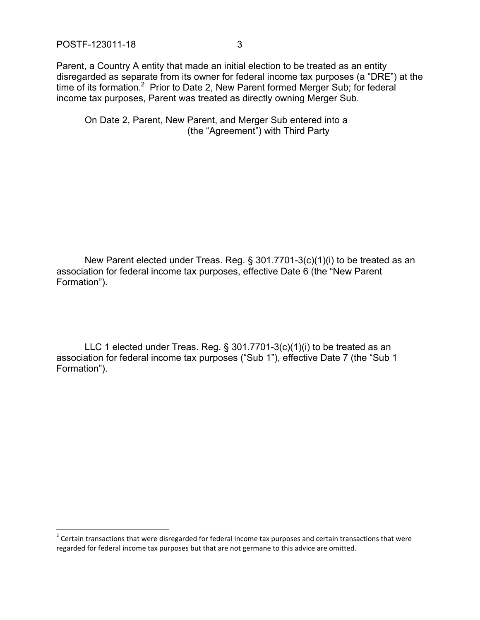Parent, a Country A entity that made an initial election to be treated as an entity disregarded as separate from its owner for federal income tax purposes (a "DRE") at the time of its formation.<sup>2</sup> Prior to Date 2, New Parent formed Merger Sub; for federal income tax purposes, Parent was treated as directly owning Merger Sub.

On Date 2, Parent, New Parent, and Merger Sub entered into a (the "Agreement") with Third Party

New Parent elected under Treas. Reg. § 301.7701-3(c)(1)(i) to be treated as an association for federal income tax purposes, effective Date 6 (the "New Parent Formation").

LLC 1 elected under Treas. Reg. § 301.7701-3(c)(1)(i) to be treated as an association for federal income tax purposes ("Sub 1"), effective Date 7 (the "Sub 1 Formation").

<sup>&</sup>lt;sup>2</sup> Certain transactions that were disregarded for federal income tax purposes and certain transactions that were regarded for federal income tax purposes but that are not germane to this advice are omitted.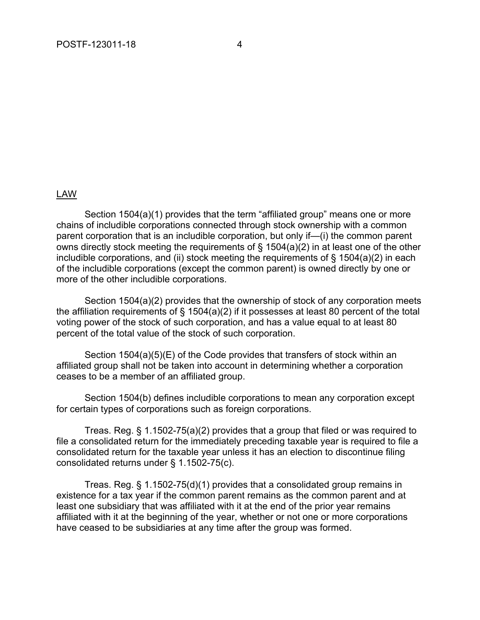#### LAW

Section 1504(a)(1) provides that the term "affiliated group" means one or more chains of includible corporations connected through stock ownership with a common parent corporation that is an includible corporation, but only if—(i) the common parent owns directly stock meeting the requirements of § 1504(a)(2) in at least one of the other includible corporations, and (ii) stock meeting the requirements of  $\S$  1504(a)(2) in each of the includible corporations (except the common parent) is owned directly by one or more of the other includible corporations.

Section 1504(a)(2) provides that the ownership of stock of any corporation meets the affiliation requirements of § 1504(a)(2) if it possesses at least 80 percent of the total voting power of the stock of such corporation, and has a value equal to at least 80 percent of the total value of the stock of such corporation.

Section 1504(a)(5)(E) of the Code provides that transfers of stock within an affiliated group shall not be taken into account in determining whether a corporation ceases to be a member of an affiliated group.

Section 1504(b) defines includible corporations to mean any corporation except for certain types of corporations such as foreign corporations.

Treas. Reg. § 1.1502-75(a)(2) provides that a group that filed or was required to file a consolidated return for the immediately preceding taxable year is required to file a consolidated return for the taxable year unless it has an election to discontinue filing consolidated returns under § 1.1502-75(c).

Treas. Reg. § 1.1502-75(d)(1) provides that a consolidated group remains in existence for a tax year if the common parent remains as the common parent and at least one subsidiary that was affiliated with it at the end of the prior year remains affiliated with it at the beginning of the year, whether or not one or more corporations have ceased to be subsidiaries at any time after the group was formed.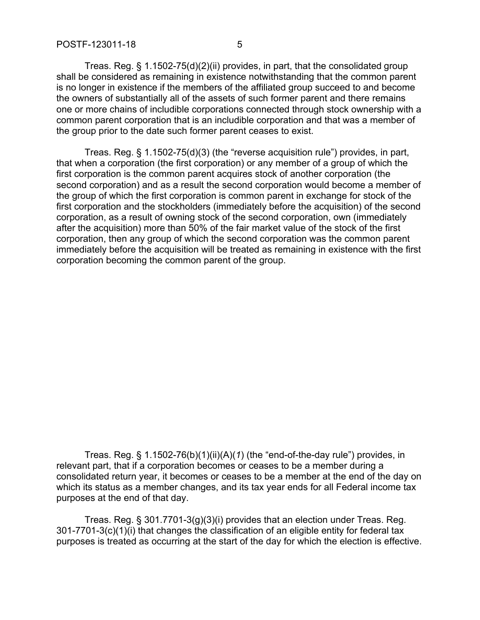Treas. Reg. § 1.1502-75(d)(2)(ii) provides, in part, that the consolidated group shall be considered as remaining in existence notwithstanding that the common parent is no longer in existence if the members of the affiliated group succeed to and become the owners of substantially all of the assets of such former parent and there remains one or more chains of includible corporations connected through stock ownership with a common parent corporation that is an includible corporation and that was a member of the group prior to the date such former parent ceases to exist.

Treas. Reg. § 1.1502-75(d)(3) (the "reverse acquisition rule") provides, in part, that when a corporation (the first corporation) or any member of a group of which the first corporation is the common parent acquires stock of another corporation (the second corporation) and as a result the second corporation would become a member of the group of which the first corporation is common parent in exchange for stock of the first corporation and the stockholders (immediately before the acquisition) of the second corporation, as a result of owning stock of the second corporation, own (immediately after the acquisition) more than 50% of the fair market value of the stock of the first corporation, then any group of which the second corporation was the common parent immediately before the acquisition will be treated as remaining in existence with the first corporation becoming the common parent of the group.

Treas. Reg. § 1.1502-76(b)(1)(ii)(A)(*1*) (the "end-of-the-day rule") provides, in relevant part, that if a corporation becomes or ceases to be a member during a consolidated return year, it becomes or ceases to be a member at the end of the day on which its status as a member changes, and its tax year ends for all Federal income tax purposes at the end of that day.

Treas. Reg. § 301.7701-3(g)(3)(i) provides that an election under Treas. Reg. 301-7701-3(c)(1)(i) that changes the classification of an eligible entity for federal tax purposes is treated as occurring at the start of the day for which the election is effective.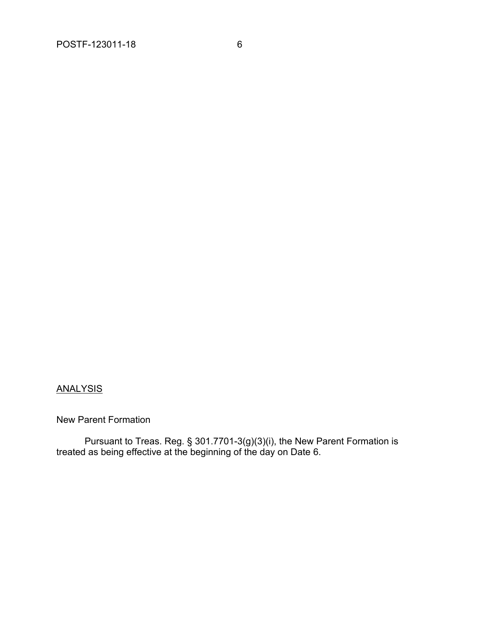# **ANALYSIS**

New Parent Formation

Pursuant to Treas. Reg. § 301.7701-3(g)(3)(i), the New Parent Formation is treated as being effective at the beginning of the day on Date 6.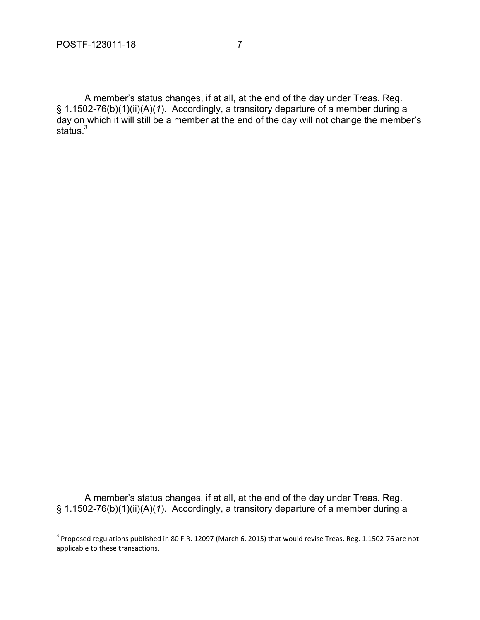A member's status changes, if at all, at the end of the day under Treas. Reg. § 1.1502-76(b)(1)(ii)(A)(1). Accordingly, a transitory departure of a member during a day on which it will still be a member at the end of the day will not change the member's status  $3$ 

A member's status changes, if at all, at the end of the day under Treas. Reg. § 1.1502-76(b)(1)(ii)(A)(1). Accordingly, a transitory departure of a member during a

 $3$  Proposed regulations published in 80 F.R. 12097 (March 6, 2015) that would revise Treas. Reg. 1.1502-76 are not applicable to these transactions.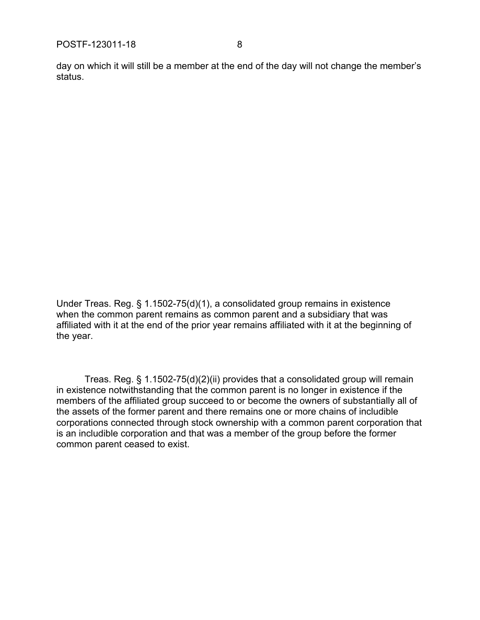day on which it will still be a member at the end of the day will not change the member's status.

Under Treas. Reg.  $\S$  1.1502-75(d)(1), a consolidated group remains in existence when the common parent remains as common parent and a subsidiary that was affiliated with it at the end of the prior year remains affiliated with it at the beginning of the year.

Treas. Reg. § 1.1502-75(d)(2)(ii) provides that a consolidated group will remain in existence notwithstanding that the common parent is no longer in existence if the members of the affiliated group succeed to or become the owners of substantially all of the assets of the former parent and there remains one or more chains of includible corporations connected through stock ownership with a common parent corporation that is an includible corporation and that was a member of the group before the former common parent ceased to exist.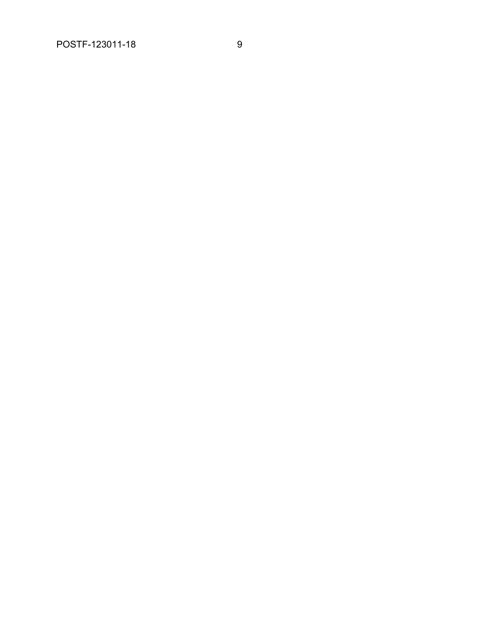$9\,$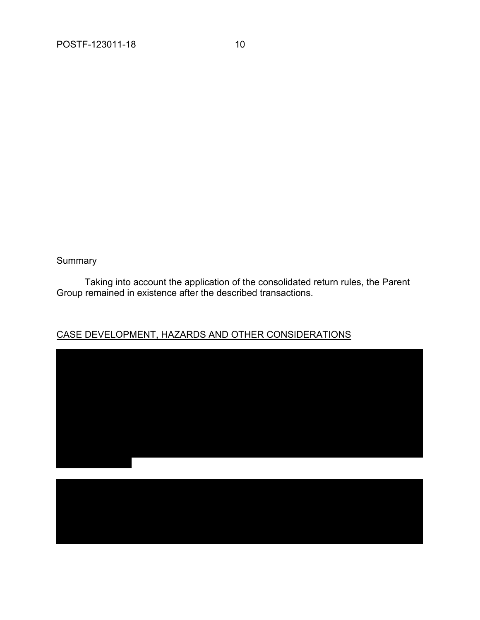# Summary

Taking into account the application of the consolidated return rules, the Parent Group remained in existence after the described transactions.

## CASE DEVELOPMENT, HAZARDS AND OTHER CONSIDERATIONS

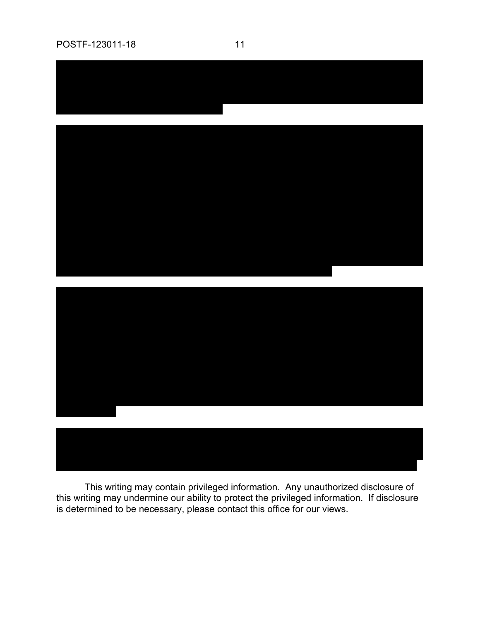



This writing may contain privileged information. Any unauthorized disclosure of this writing may undermine our ability to protect the privileged information. If disclosure is determined to be necessary, please contact this office for our views.